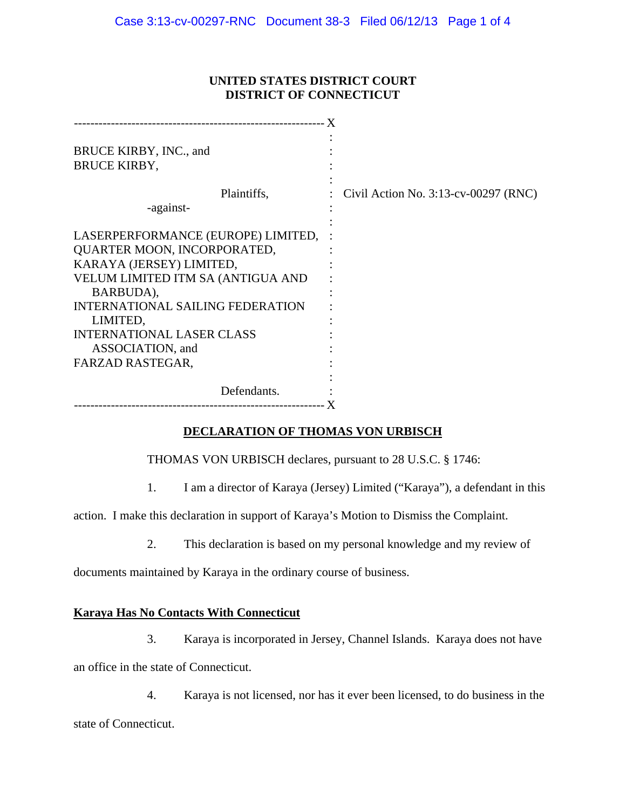### **UNITED STATES DISTRICT COURT DISTRICT OF CONNECTICUT**

| BRUCE KIRBY, INC., and                  |                                         |
|-----------------------------------------|-----------------------------------------|
| <b>BRUCE KIRBY,</b>                     |                                         |
| Plaintiffs,<br>-against-                | Civil Action No. $3:13$ -cv-00297 (RNC) |
|                                         |                                         |
| LASERPERFORMANCE (EUROPE) LIMITED,      |                                         |
| QUARTER MOON, INCORPORATED,             |                                         |
| KARAYA (JERSEY) LIMITED,                |                                         |
| VELUM LIMITED ITM SA (ANTIGUA AND       |                                         |
| BARBUDA),                               |                                         |
| <b>INTERNATIONAL SAILING FEDERATION</b> |                                         |
| LIMITED,                                |                                         |
| <b>INTERNATIONAL LASER CLASS</b>        |                                         |
| ASSOCIATION, and                        |                                         |
| FARZAD RASTEGAR,                        |                                         |
|                                         |                                         |
| Defendants.                             |                                         |
|                                         |                                         |

## **DECLARATION OF THOMAS VON URBISCH**

THOMAS VON URBISCH declares, pursuant to 28 U.S.C. § 1746:

1. I am a director of Karaya (Jersey) Limited ("Karaya"), a defendant in this

action. I make this declaration in support of Karaya's Motion to Dismiss the Complaint.

2. This declaration is based on my personal knowledge and my review of

documents maintained by Karaya in the ordinary course of business.

# **Karaya Has No Contacts With Connecticut**

3. Karaya is incorporated in Jersey, Channel Islands. Karaya does not have

an office in the state of Connecticut.

4. Karaya is not licensed, nor has it ever been licensed, to do business in the state of Connecticut.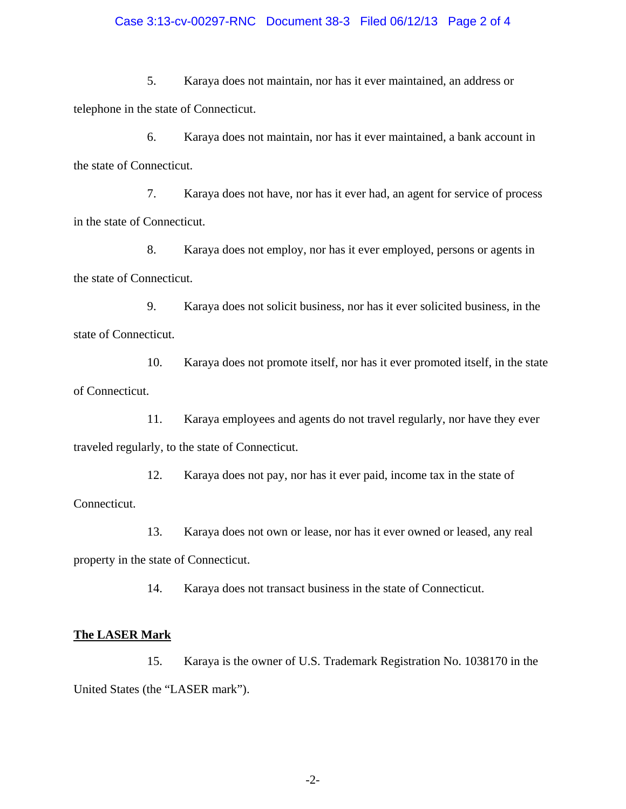#### Case 3:13-cv-00297-RNC Document 38-3 Filed 06/12/13 Page 2 of 4

5. Karaya does not maintain, nor has it ever maintained, an address or telephone in the state of Connecticut.

6. Karaya does not maintain, nor has it ever maintained, a bank account in the state of Connecticut.

7. Karaya does not have, nor has it ever had, an agent for service of process in the state of Connecticut.

8. Karaya does not employ, nor has it ever employed, persons or agents in the state of Connecticut.

9. Karaya does not solicit business, nor has it ever solicited business, in the state of Connecticut.

10. Karaya does not promote itself, nor has it ever promoted itself, in the state of Connecticut.

11. Karaya employees and agents do not travel regularly, nor have they ever traveled regularly, to the state of Connecticut.

12. Karaya does not pay, nor has it ever paid, income tax in the state of Connecticut.

13. Karaya does not own or lease, nor has it ever owned or leased, any real property in the state of Connecticut.

14. Karaya does not transact business in the state of Connecticut.

# **The LASER Mark**

15. Karaya is the owner of U.S. Trademark Registration No. 1038170 in the United States (the "LASER mark").

-2-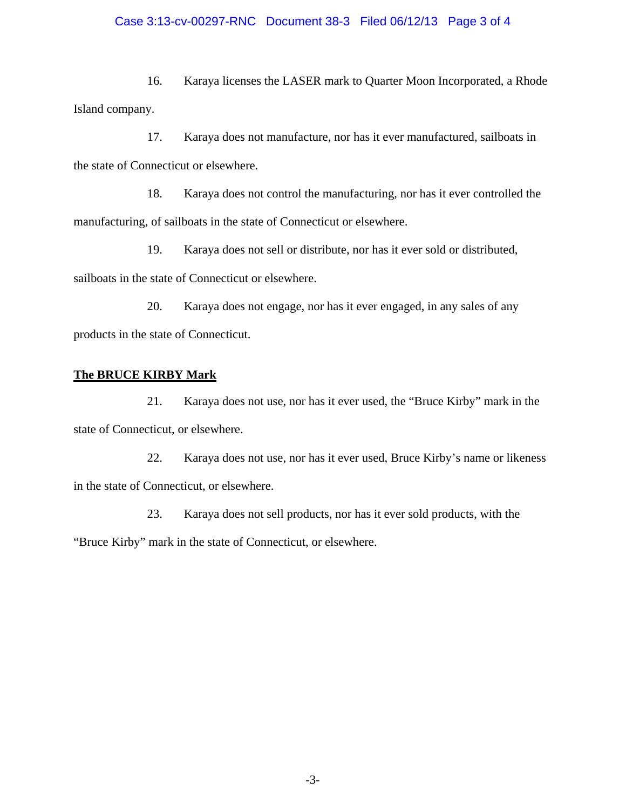## Case 3:13-cv-00297-RNC Document 38-3 Filed 06/12/13 Page 3 of 4

16. Karaya licenses the LASER mark to Quarter Moon Incorporated, a Rhode Island company.

17. Karaya does not manufacture, nor has it ever manufactured, sailboats in the state of Connecticut or elsewhere.

18. Karaya does not control the manufacturing, nor has it ever controlled the manufacturing, of sailboats in the state of Connecticut or elsewhere.

19. Karaya does not sell or distribute, nor has it ever sold or distributed, sailboats in the state of Connecticut or elsewhere.

20. Karaya does not engage, nor has it ever engaged, in any sales of any products in the state of Connecticut.

#### **The BRUCE KIRBY Mark**

21. Karaya does not use, nor has it ever used, the "Bruce Kirby" mark in the state of Connecticut, or elsewhere.

22. Karaya does not use, nor has it ever used, Bruce Kirby's name or likeness in the state of Connecticut, or elsewhere.

23. Karaya does not sell products, nor has it ever sold products, with the "Bruce Kirby" mark in the state of Connecticut, or elsewhere.